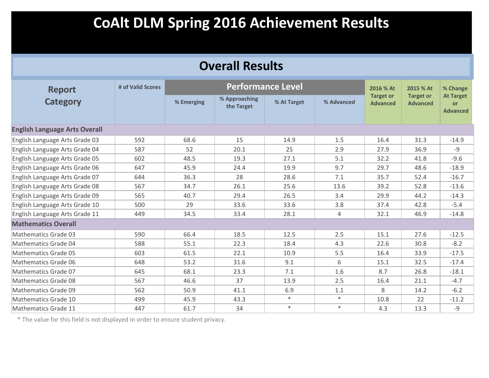| <b>Overall Results</b>               |                   |            |                             |             |            |                                     |                                     |                                           |  |  |
|--------------------------------------|-------------------|------------|-----------------------------|-------------|------------|-------------------------------------|-------------------------------------|-------------------------------------------|--|--|
| <b>Report</b>                        | # of Valid Scores |            | <b>Performance Level</b>    |             |            | 2016 % At                           | 2015 % At                           | % Change                                  |  |  |
| <b>Category</b>                      |                   | % Emerging | % Approaching<br>the Target | % At Target | % Advanced | <b>Target or</b><br><b>Advanced</b> | <b>Target or</b><br><b>Advanced</b> | <b>At Target</b><br>or<br><b>Advanced</b> |  |  |
| <b>English Language Arts Overall</b> |                   |            |                             |             |            |                                     |                                     |                                           |  |  |
| English Language Arts Grade 03       | 592               | 68.6       | 15                          | 14.9        | 1.5        | 16.4                                | 31.3                                | $-14.9$                                   |  |  |
| English Language Arts Grade 04       | 587               | 52         | 20.1                        | 25          | 2.9        | 27.9                                | 36.9                                | $-9$                                      |  |  |
| English Language Arts Grade 05       | 602               | 48.5       | 19.3                        | 27.1        | 5.1        | 32.2                                | 41.8                                | $-9.6$                                    |  |  |
| English Language Arts Grade 06       | 647               | 45.9       | 24.4                        | 19.9        | 9.7        | 29.7                                | 48.6                                | $-18.9$                                   |  |  |
| English Language Arts Grade 07       | 644               | 36.3       | 28                          | 28.6        | 7.1        | 35.7                                | 52.4                                | $-16.7$                                   |  |  |
| English Language Arts Grade 08       | 567               | 34.7       | 26.1                        | 25.6        | 13.6       | 39.2                                | 52.8                                | $-13.6$                                   |  |  |
| English Language Arts Grade 09       | 565               | 40.7       | 29.4                        | 26.5        | 3.4        | 29.9                                | 44.2                                | $-14.3$                                   |  |  |
| English Language Arts Grade 10       | 500               | 29         | 33.6                        | 33.6        | 3.8        | 37.4                                | 42.8                                | $-5.4$                                    |  |  |
| English Language Arts Grade 11       | 449               | 34.5       | 33.4                        | 28.1        | 4          | 32.1                                | 46.9                                | $-14.8$                                   |  |  |
| <b>Mathematics Overall</b>           |                   |            |                             |             |            |                                     |                                     |                                           |  |  |
| <b>Mathematics Grade 03</b>          | 590               | 66.4       | 18.5                        | 12.5        | 2.5        | 15.1                                | 27.6                                | $-12.5$                                   |  |  |
| Mathematics Grade 04                 | 588               | 55.1       | 22.3                        | 18.4        | 4.3        | 22.6                                | 30.8                                | $-8.2$                                    |  |  |
| <b>Mathematics Grade 05</b>          | 603               | 61.5       | 22.1                        | 10.9        | 5.5        | 16.4                                | 33.9                                | $-17.5$                                   |  |  |
| <b>Mathematics Grade 06</b>          | 648               | 53.2       | 31.6                        | 9.1         | 6          | 15.1                                | 32.5                                | $-17.4$                                   |  |  |
| <b>Mathematics Grade 07</b>          | 645               | 68.1       | 23.3                        | 7.1         | 1.6        | 8.7                                 | 26.8                                | $-18.1$                                   |  |  |
| Mathematics Grade 08                 | 567               | 46.6       | 37                          | 13.9        | 2.5        | 16.4                                | 21.1                                | $-4.7$                                    |  |  |
| Mathematics Grade 09                 | 562               | 50.9       | 41.1                        | 6.9         | 1.1        | 8                                   | 14.2                                | $-6.2$                                    |  |  |
| Mathematics Grade 10                 | 499               | 45.9       | 43.3                        | $\ast$      | $\ast$     | 10.8                                | 22                                  | $-11.2$                                   |  |  |
| Mathematics Grade 11                 | 447               | 61.7       | 34                          | $\ast$      | $*$        | 4.3                                 | 13.3                                | $-9$                                      |  |  |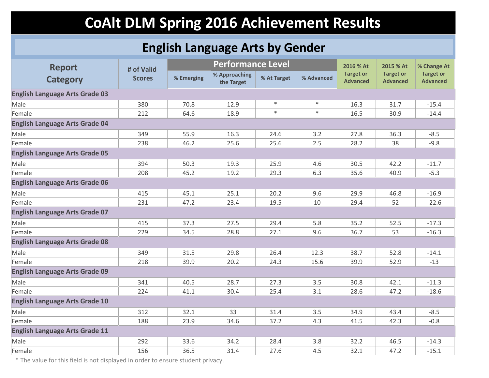### **English Language Arts by Gender**

| <b>Report</b>                         | # of Valid    |            | <b>Performance Level</b>    |             |            | 2016 % At                           | 2015 % At                           | % Change At                         |
|---------------------------------------|---------------|------------|-----------------------------|-------------|------------|-------------------------------------|-------------------------------------|-------------------------------------|
| <b>Category</b>                       | <b>Scores</b> | % Emerging | % Approaching<br>the Target | % At Target | % Advanced | <b>Target or</b><br><b>Advanced</b> | <b>Target or</b><br><b>Advanced</b> | <b>Target or</b><br><b>Advanced</b> |
| <b>English Language Arts Grade 03</b> |               |            |                             |             |            |                                     |                                     |                                     |
| Male                                  | 380           | 70.8       | 12.9                        | $\ast$      | $\ast$     | 16.3                                | 31.7                                | $-15.4$                             |
| Female                                | 212           | 64.6       | 18.9                        | $\ast$      | $\ast$     | 16.5                                | 30.9                                | $-14.4$                             |
| <b>English Language Arts Grade 04</b> |               |            |                             |             |            |                                     |                                     |                                     |
| Male                                  | 349           | 55.9       | 16.3                        | 24.6        | 3.2        | 27.8                                | 36.3                                | $-8.5$                              |
| Female                                | 238           | 46.2       | 25.6                        | 25.6        | 2.5        | 28.2                                | 38                                  | $-9.8$                              |
| <b>English Language Arts Grade 05</b> |               |            |                             |             |            |                                     |                                     |                                     |
| Male                                  | 394           | 50.3       | 19.3                        | 25.9        | 4.6        | 30.5                                | 42.2                                | $-11.7$                             |
| Female                                | 208           | 45.2       | 19.2                        | 29.3        | 6.3        | 35.6                                | 40.9                                | $-5.3$                              |
| <b>English Language Arts Grade 06</b> |               |            |                             |             |            |                                     |                                     |                                     |
| Male                                  | 415           | 45.1       | 25.1                        | 20.2        | 9.6        | 29.9                                | 46.8                                | $-16.9$                             |
| Female                                | 231           | 47.2       | 23.4                        | 19.5        | 10         | 29.4                                | 52                                  | $-22.6$                             |
| <b>English Language Arts Grade 07</b> |               |            |                             |             |            |                                     |                                     |                                     |
| Male                                  | 415           | 37.3       | 27.5                        | 29.4        | 5.8        | 35.2                                | 52.5                                | $-17.3$                             |
| Female                                | 229           | 34.5       | 28.8                        | 27.1        | 9.6        | 36.7                                | 53                                  | $-16.3$                             |
| <b>English Language Arts Grade 08</b> |               |            |                             |             |            |                                     |                                     |                                     |
| Male                                  | 349           | 31.5       | 29.8                        | 26.4        | 12.3       | 38.7                                | 52.8                                | $-14.1$                             |
| Female                                | 218           | 39.9       | 20.2                        | 24.3        | 15.6       | 39.9                                | 52.9                                | $-13$                               |
| <b>English Language Arts Grade 09</b> |               |            |                             |             |            |                                     |                                     |                                     |
| Male                                  | 341           | 40.5       | 28.7                        | 27.3        | 3.5        | 30.8                                | 42.1                                | $-11.3$                             |
| Female                                | 224           | 41.1       | 30.4                        | 25.4        | 3.1        | 28.6                                | 47.2                                | $-18.6$                             |
| <b>English Language Arts Grade 10</b> |               |            |                             |             |            |                                     |                                     |                                     |
| Male                                  | 312           | 32.1       | 33                          | 31.4        | 3.5        | 34.9                                | 43.4                                | $-8.5$                              |
| Female                                | 188           | 23.9       | 34.6                        | 37.2        | 4.3        | 41.5                                | 42.3                                | $-0.8$                              |
| <b>English Language Arts Grade 11</b> |               |            |                             |             |            |                                     |                                     |                                     |
| Male                                  | 292           | 33.6       | 34.2                        | 28.4        | 3.8        | 32.2                                | 46.5                                | $-14.3$                             |
| Female                                | 156           | 36.5       | 31.4                        | 27.6        | 4.5        | 32.1                                | 47.2                                | $-15.1$                             |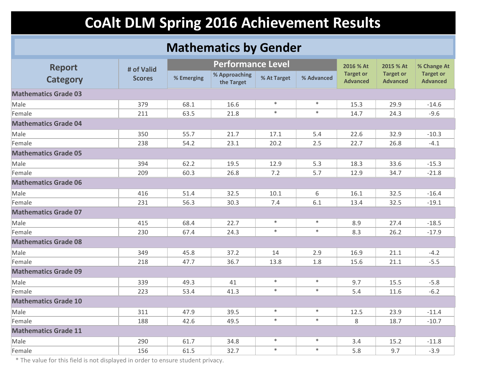### **Mathematics by Gender**

| <b>Report</b>               | # of Valid    |            | <b>Performance Level</b>    |             |            | 2016 % At                           | 2015 % At                           | % Change At                         |
|-----------------------------|---------------|------------|-----------------------------|-------------|------------|-------------------------------------|-------------------------------------|-------------------------------------|
| <b>Category</b>             | <b>Scores</b> | % Emerging | % Approaching<br>the Target | % At Target | % Advanced | <b>Target or</b><br><b>Advanced</b> | <b>Target or</b><br><b>Advanced</b> | <b>Target or</b><br><b>Advanced</b> |
| <b>Mathematics Grade 03</b> |               |            |                             |             |            |                                     |                                     |                                     |
| Male                        | 379           | 68.1       | 16.6                        | $\ast$      | $\ast$     | 15.3                                | 29.9                                | $-14.6$                             |
| Female                      | 211           | 63.5       | 21.8                        | $\ast$      | $\ast$     | 14.7                                | 24.3                                | $-9.6$                              |
| <b>Mathematics Grade 04</b> |               |            |                             |             |            |                                     |                                     |                                     |
| Male                        | 350           | 55.7       | 21.7                        | 17.1        | 5.4        | 22.6                                | 32.9                                | $-10.3$                             |
| Female                      | 238           | 54.2       | 23.1                        | 20.2        | 2.5        | 22.7                                | 26.8                                | $-4.1$                              |
| <b>Mathematics Grade 05</b> |               |            |                             |             |            |                                     |                                     |                                     |
| Male                        | 394           | 62.2       | 19.5                        | 12.9        | 5.3        | 18.3                                | 33.6                                | $-15.3$                             |
| Female                      | 209           | 60.3       | 26.8                        | 7.2         | 5.7        | 12.9                                | 34.7                                | $-21.8$                             |
| <b>Mathematics Grade 06</b> |               |            |                             |             |            |                                     |                                     |                                     |
| Male                        | 416           | 51.4       | 32.5                        | 10.1        | 6          | 16.1                                | 32.5                                | $-16.4$                             |
| Female                      | 231           | 56.3       | 30.3                        | 7.4         | 6.1        | 13.4                                | 32.5                                | $-19.1$                             |
| <b>Mathematics Grade 07</b> |               |            |                             |             |            |                                     |                                     |                                     |
| Male                        | 415           | 68.4       | 22.7                        | $\ast$      | $\ast$     | 8.9                                 | 27.4                                | $-18.5$                             |
| Female                      | 230           | 67.4       | 24.3                        | $\ast$      | $\ast$     | 8.3                                 | 26.2                                | $-17.9$                             |
| <b>Mathematics Grade 08</b> |               |            |                             |             |            |                                     |                                     |                                     |
| Male                        | 349           | 45.8       | 37.2                        | 14          | 2.9        | 16.9                                | 21.1                                | $-4.2$                              |
| Female                      | 218           | 47.7       | 36.7                        | 13.8        | 1.8        | 15.6                                | 21.1                                | $-5.5$                              |
| <b>Mathematics Grade 09</b> |               |            |                             |             |            |                                     |                                     |                                     |
| Male                        | 339           | 49.3       | 41                          | $\ast$      | $\ast$     | 9.7                                 | 15.5                                | $-5.8$                              |
| Female                      | 223           | 53.4       | 41.3                        | $\ast$      | $\ast$     | 5.4                                 | 11.6                                | $-6.2$                              |
| <b>Mathematics Grade 10</b> |               |            |                             |             |            |                                     |                                     |                                     |
| Male                        | 311           | 47.9       | 39.5                        | $\ast$      | $\ast$     | 12.5                                | 23.9                                | $-11.4$                             |
| Female                      | 188           | 42.6       | 49.5                        | $\ast$      | $\ast$     | 8                                   | 18.7                                | $-10.7$                             |
| <b>Mathematics Grade 11</b> |               |            |                             |             |            |                                     |                                     |                                     |
| Male                        | 290           | 61.7       | 34.8                        | $\ast$      | $\ast$     | 3.4                                 | 15.2                                | $-11.8$                             |
| Female                      | 156           | 61.5       | 32.7                        | $\ast$      | $\ast$     | 5.8                                 | 9.7                                 | $-3.9$                              |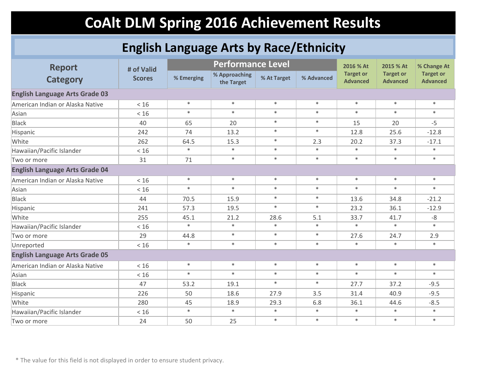### **English Language Arts by Race/Ethnicity**

| <b>Report</b>                         | # of Valid    |            | <b>Performance Level</b>    |             |            | 2016 % At                           | 2015 % At                           | % Change At                         |
|---------------------------------------|---------------|------------|-----------------------------|-------------|------------|-------------------------------------|-------------------------------------|-------------------------------------|
| <b>Category</b>                       | <b>Scores</b> | % Emerging | % Approaching<br>the Target | % At Target | % Advanced | <b>Target or</b><br><b>Advanced</b> | <b>Target or</b><br><b>Advanced</b> | <b>Target or</b><br><b>Advanced</b> |
| <b>English Language Arts Grade 03</b> |               |            |                             |             |            |                                     |                                     |                                     |
| American Indian or Alaska Native      | < 16          | $\ast$     | $\ast$                      | $\ast$      | $\ast$     | $\ast$                              | $\ast$                              | $\ast$                              |
| Asian                                 | < 16          | $\ast$     | $\ast$                      | $\ast$      | $\ast$     | $\ast$                              | $\ast$                              | $\ast$                              |
| <b>Black</b>                          | 40            | 65         | 20                          | $\ast$      | $\ast$     | 15                                  | 20                                  | $-5$                                |
| Hispanic                              | 242           | 74         | 13.2                        | $\ast$      | $\ast$     | 12.8                                | 25.6                                | $-12.8$                             |
| White                                 | 262           | 64.5       | 15.3                        | $\ast$      | 2.3        | 20.2                                | 37.3                                | $-17.1$                             |
| Hawaiian/Pacific Islander             | < 16          | $\ast$     | $\ast$                      | $\ast$      | $\ast$     | $\ast$                              | $\ast$                              | $\ast$                              |
| Two or more                           | 31            | 71         | $\ast$                      | $\ast$      | $\ast$     | $\ast$                              | $\ast$                              | $\ast$                              |
| <b>English Language Arts Grade 04</b> |               |            |                             |             |            |                                     |                                     |                                     |
| American Indian or Alaska Native      | < 16          | $\ast$     | $\ast$                      | $\ast$      | $\ast$     | $\ast$                              | $\ast$                              | $\ast$                              |
| Asian                                 | $<16$         | $*$        | $\ast$                      | $\ast$      | $\ast$     | $\ast$                              | $\ast$                              | $\ast$                              |
| <b>Black</b>                          | 44            | 70.5       | 15.9                        | $\ast$      | $\ast$     | 13.6                                | 34.8                                | $-21.2$                             |
| Hispanic                              | 241           | 57.3       | 19.5                        | $\ast$      | $\ast$     | 23.2                                | 36.1                                | $-12.9$                             |
| White                                 | 255           | 45.1       | 21.2                        | 28.6        | 5.1        | 33.7                                | 41.7                                | $-8$                                |
| Hawaiian/Pacific Islander             | < 16          | $\ast$     | $\ast$                      | $\ast$      | $\ast$     | $\ast$                              | $\ast$                              | $\ast$                              |
| Two or more                           | 29            | 44.8       | $\ast$                      | $\ast$      | $\ast$     | 27.6                                | 24.7                                | 2.9                                 |
| Unreported                            | < 16          | $\ast$     | $\ast$                      | $\ast$      | $\ast$     | $\ast$                              | $\ast$                              | $\ast$                              |
| <b>English Language Arts Grade 05</b> |               |            |                             |             |            |                                     |                                     |                                     |
| American Indian or Alaska Native      | < 16          | $\ast$     | $\ast$                      | $\ast$      | $\ast$     | $\ast$                              | $\ast$                              | $\ast$                              |
| Asian                                 | < 16          | $\ast$     | $\ast$                      | $\ast$      | $\ast$     | $\ast$                              | $\ast$                              | $\ast$                              |
| <b>Black</b>                          | 47            | 53.2       | 19.1                        | $\ast$      | $\ast$     | 27.7                                | 37.2                                | $-9.5$                              |
| Hispanic                              | 226           | 50         | 18.6                        | 27.9        | 3.5        | 31.4                                | 40.9                                | $-9.5$                              |
| White                                 | 280           | 45         | 18.9                        | 29.3        | 6.8        | 36.1                                | 44.6                                | $-8.5$                              |
| Hawaiian/Pacific Islander             | $<16$         | $\ast$     | $\ast$                      | $\ast$      | $\ast$     | $\ast$                              | $\ast$                              | $\ast$                              |
| Two or more                           | 24            | 50         | 25                          | $\ast$      | $\ast$     | $\ast$                              | $\ast$                              | $\ast$                              |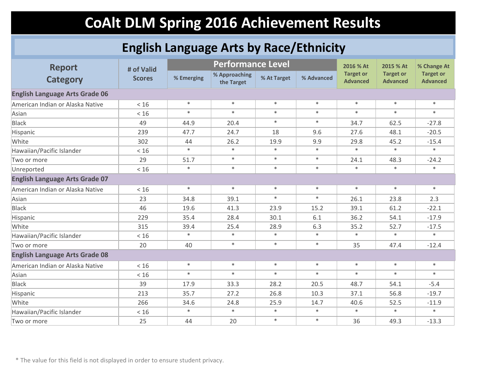### **English Language Arts by Race/Ethnicity**

| <b>Report</b>                         | # of Valid    |            | <b>Performance Level</b>    |             |            | 2016 % At                           | 2015 % At                           | % Change At                         |  |  |
|---------------------------------------|---------------|------------|-----------------------------|-------------|------------|-------------------------------------|-------------------------------------|-------------------------------------|--|--|
| <b>Category</b>                       | <b>Scores</b> | % Emerging | % Approaching<br>the Target | % At Target | % Advanced | <b>Target or</b><br><b>Advanced</b> | <b>Target or</b><br><b>Advanced</b> | <b>Target or</b><br><b>Advanced</b> |  |  |
| <b>English Language Arts Grade 06</b> |               |            |                             |             |            |                                     |                                     |                                     |  |  |
| American Indian or Alaska Native      | < 16          | $\ast$     | $\ast$                      | $\ast$      | $\ast$     | $\ast$                              | $\ast$                              | $\ast$                              |  |  |
| Asian                                 | $<16$         | $*$        | $\ast$                      | $\ast$      | $\ast$     | $\ast$                              | $\ast$                              | $*$                                 |  |  |
| <b>Black</b>                          | 49            | 44.9       | 20.4                        | $\ast$      | $\ast$     | 34.7                                | 62.5                                | $-27.8$                             |  |  |
| Hispanic                              | 239           | 47.7       | 24.7                        | 18          | 9.6        | 27.6                                | 48.1                                | $-20.5$                             |  |  |
| White                                 | 302           | 44         | 26.2                        | 19.9        | 9.9        | 29.8                                | 45.2                                | $-15.4$                             |  |  |
| Hawaiian/Pacific Islander             | < 16          | $\ast$     | $\ast$                      | $\ast$      | $\ast$     | $\ast$                              | $\ast$                              | $\ast$                              |  |  |
| Two or more                           | 29            | 51.7       | $\ast$                      | $\ast$      | $\ast$     | 24.1                                | 48.3                                | $-24.2$                             |  |  |
| Unreported                            | < 16          | $\ast$     | $\ast$                      | $\ast$      | $\ast$     | ∗                                   | $\ast$                              | $\ast$                              |  |  |
| <b>English Language Arts Grade 07</b> |               |            |                             |             |            |                                     |                                     |                                     |  |  |
| American Indian or Alaska Native      | < 16          | $\ast$     | $\ast$                      | $\ast$      | $\ast$     | $\ast$                              | $\ast$                              | $\ast$                              |  |  |
| Asian                                 | 23            | 34.8       | 39.1                        | $\ast$      | $\ast$     | 26.1                                | 23.8                                | 2.3                                 |  |  |
| <b>Black</b>                          | 46            | 19.6       | 41.3                        | 23.9        | 15.2       | 39.1                                | 61.2                                | $-22.1$                             |  |  |
| Hispanic                              | 229           | 35.4       | 28.4                        | 30.1        | 6.1        | 36.2                                | 54.1                                | $-17.9$                             |  |  |
| White                                 | 315           | 39.4       | 25.4                        | 28.9        | 6.3        | 35.2                                | 52.7                                | $-17.5$                             |  |  |
| Hawaiian/Pacific Islander             | $<16$         | $\ast$     | $\ast$                      | $\ast$      | $\ast$     | $\ast$                              | $\ast$                              | $\ast$                              |  |  |
| Two or more                           | 20            | 40         | $\ast$                      | $\ast$      | $\ast$     | 35                                  | 47.4                                | $-12.4$                             |  |  |
| <b>English Language Arts Grade 08</b> |               |            |                             |             |            |                                     |                                     |                                     |  |  |
| American Indian or Alaska Native      | $<16$         | $\ast$     | $\ast$                      | $\ast$      | $\ast$     | $\ast$                              | $\ast$                              | $\ast$                              |  |  |
| Asian                                 | < 16          | $\ast$     | $\ast$                      | $\ast$      | $\ast$     | $\ast$                              | $\ast$                              | $\ast$                              |  |  |
| <b>Black</b>                          | 39            | 17.9       | 33.3                        | 28.2        | 20.5       | 48.7                                | 54.1                                | $-5.4$                              |  |  |
| Hispanic                              | 213           | 35.7       | 27.2                        | 26.8        | 10.3       | 37.1                                | 56.8                                | $-19.7$                             |  |  |
| White                                 | 266           | 34.6       | 24.8                        | 25.9        | 14.7       | 40.6                                | 52.5                                | $-11.9$                             |  |  |
| Hawaiian/Pacific Islander             | $<16$         | $\ast$     | $\ast$                      | $\ast$      | $\ast$     | $\ast$                              | $\ast$                              | $\ast$                              |  |  |
| Two or more                           | 25            | 44         | 20                          | $\ast$      | $\ast$     | 36                                  | 49.3                                | $-13.3$                             |  |  |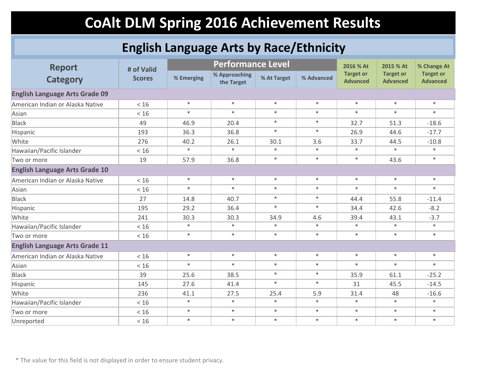### **English Language Arts by Race/Ethnicity**

| <b>Report</b>                         | # of Valid    |            | <b>Performance Level</b>    |             |            | 2016 % At                           | 2015 % At                           | % Change At                         |
|---------------------------------------|---------------|------------|-----------------------------|-------------|------------|-------------------------------------|-------------------------------------|-------------------------------------|
| <b>Category</b>                       | <b>Scores</b> | % Emerging | % Approaching<br>the Target | % At Target | % Advanced | <b>Target or</b><br><b>Advanced</b> | <b>Target or</b><br><b>Advanced</b> | <b>Target or</b><br><b>Advanced</b> |
| <b>English Language Arts Grade 09</b> |               |            |                             |             |            |                                     |                                     |                                     |
| American Indian or Alaska Native      | < 16          | $\ast$     | $\ast$                      | $\ast$      | $\ast$     | $\ast$                              | $\ast$                              | $\ast$                              |
| Asian                                 | < 16          | $\ast$     | $\ast$                      | $\ast$      | $\ast$     | $\ast$                              | $\ast$                              | $\ast$                              |
| <b>Black</b>                          | 49            | 46.9       | 20.4                        | $\ast$      | $\ast$     | 32.7                                | 51.3                                | $-18.6$                             |
| Hispanic                              | 193           | 36.3       | 36.8                        | $\ast$      | $\ast$     | 26.9                                | 44.6                                | $-17.7$                             |
| White                                 | 276           | 40.2       | 26.1                        | 30.1        | 3.6        | 33.7                                | 44.5                                | $-10.8$                             |
| Hawaiian/Pacific Islander             | $<16$         | $\ast$     | $\ast$                      | $\ast$      | $\ast$     | $\ast$                              | $\ast$                              | $\ast$                              |
| Two or more                           | 19            | 57.9       | 36.8                        | $\ast$      | $\ast$     | $\ast$                              | 43.6                                | $\ast$                              |
| <b>English Language Arts Grade 10</b> |               |            |                             |             |            |                                     |                                     |                                     |
| American Indian or Alaska Native      | < 16          | $\ast$     | $\ast$                      | $\ast$      | $\ast$     | $\ast$                              | $\ast$                              | $\ast$                              |
| Asian                                 | < 16          | $\ast$     | $\ast$                      | $\ast$      | $\ast$     | $\ast$                              | $\ast$                              | $\ast$                              |
| <b>Black</b>                          | 27            | 14.8       | 40.7                        | $\ast$      | $\ast$     | 44.4                                | 55.8                                | $-11.4$                             |
| Hispanic                              | 195           | 29.2       | 36.4                        | $\ast$      | $\ast$     | 34.4                                | 42.6                                | $-8.2$                              |
| White                                 | 241           | 30.3       | 30.3                        | 34.9        | 4.6        | 39.4                                | 43.1                                | $-3.7$                              |
| Hawaiian/Pacific Islander             | < 16          | $\ast$     | $\ast$                      | $\ast$      | $\ast$     | $\ast$                              | $\ast$                              | $\ast$                              |
| Two or more                           | $<16$         | $\ast$     | $\ast$                      | $\ast$      | $\ast$     | $\ast$                              | $\ast$                              | $\ast$                              |
| <b>English Language Arts Grade 11</b> |               |            |                             |             |            |                                     |                                     |                                     |
| American Indian or Alaska Native      | < 16          | $\ast$     | $\ast$                      | $\ast$      | $\ast$     | $\ast$                              | $\ast$                              | $\ast$                              |
| Asian                                 | < 16          | $\ast$     | $\ast$                      | $\ast$      | $\ast$     | $\ast$                              | $\ast$                              | $\ast$                              |
| <b>Black</b>                          | 39            | 25.6       | 38.5                        | $\ast$      | $\ast$     | 35.9                                | 61.1                                | $-25.2$                             |
| Hispanic                              | 145           | 27.6       | 41.4                        | $\ast$      | $\ast$     | 31                                  | 45.5                                | $-14.5$                             |
| White                                 | 236           | 41.1       | 27.5                        | 25.4        | 5.9        | 31.4                                | 48                                  | $-16.6$                             |
| Hawaiian/Pacific Islander             | < 16          | $\ast$     | $\ast$                      | $\ast$      | $\ast$     | $\ast$                              | $\ast$                              | $\ast$                              |
| Two or more                           | $<16$         | $\ast$     | $\ast$                      | $\ast$      | $\ast$     | $\ast$                              | $\ast$                              | $\ast$                              |
| Unreported                            | $<16$         | $\ast$     | $\ast$                      | $\ast$      | $\ast$     | $\ast$                              | $\ast$                              | $\ast$                              |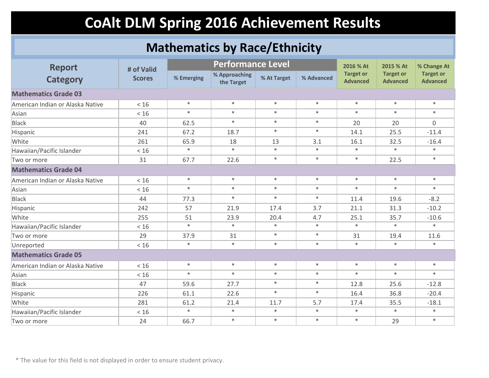### **Mathematics by Race/Ethnicity**

| <b>Report</b>                    | # of Valid    |            | <b>Performance Level</b>    |             |            | 2016 % At                           | 2015 % At                           | % Change At                         |  |  |
|----------------------------------|---------------|------------|-----------------------------|-------------|------------|-------------------------------------|-------------------------------------|-------------------------------------|--|--|
| <b>Category</b>                  | <b>Scores</b> | % Emerging | % Approaching<br>the Target | % At Target | % Advanced | <b>Target or</b><br><b>Advanced</b> | <b>Target or</b><br><b>Advanced</b> | <b>Target or</b><br><b>Advanced</b> |  |  |
| <b>Mathematics Grade 03</b>      |               |            |                             |             |            |                                     |                                     |                                     |  |  |
| American Indian or Alaska Native | < 16          | $\ast$     | $\ast$                      | $\ast$      | $\ast$     | $\ast$                              | $\ast$                              | $\ast$                              |  |  |
| Asian                            | $<16$         | $\ast$     | $\ast$                      | $\ast$      | $\ast$     | $\ast$                              | $\ast$                              | $\ast$                              |  |  |
| <b>Black</b>                     | 40            | 62.5       | $\ast$                      | $\ast$      | $\ast$     | 20                                  | 20                                  | $\overline{0}$                      |  |  |
| Hispanic                         | 241           | 67.2       | 18.7                        | $\ast$      | $\ast$     | 14.1                                | 25.5                                | $-11.4$                             |  |  |
| White                            | 261           | 65.9       | 18                          | 13          | 3.1        | 16.1                                | 32.5                                | $-16.4$                             |  |  |
| Hawaiian/Pacific Islander        | < 16          | $\ast$     | $\ast$                      | $\ast$      | $\ast$     | $\ast$                              | $\ast$                              | $\ast$                              |  |  |
| Two or more                      | 31            | 67.7       | 22.6                        | $\ast$      | $\ast$     | $\ast$                              | 22.5                                | $\ast$                              |  |  |
| <b>Mathematics Grade 04</b>      |               |            |                             |             |            |                                     |                                     |                                     |  |  |
| American Indian or Alaska Native | < 16          | $\ast$     | $\ast$                      | $\ast$      | $\ast$     | $\ast$                              | $\ast$                              | $\ast$                              |  |  |
| Asian                            | < 16          | $\ast$     | $\ast$                      | $\ast$      | $\ast$     | $\ast$                              | $\ast$                              | $\ast$                              |  |  |
| <b>Black</b>                     | 44            | 77.3       | $\ast$                      | $\ast$      | $\ast$     | 11.4                                | 19.6                                | $-8.2$                              |  |  |
| Hispanic                         | 242           | 57         | 21.9                        | 17.4        | 3.7        | 21.1                                | 31.3                                | $-10.2$                             |  |  |
| White                            | 255           | 51         | 23.9                        | 20.4        | 4.7        | 25.1                                | 35.7                                | $-10.6$                             |  |  |
| Hawaiian/Pacific Islander        | < 16          | $\ast$     | $\ast$                      | $\ast$      | $\ast$     | $\ast$                              | $\ast$                              | $\ast$                              |  |  |
| Two or more                      | 29            | 37.9       | 31                          | $\ast$      | $\ast$     | 31                                  | 19.4                                | 11.6                                |  |  |
| Unreported                       | < 16          | $\ast$     | $\ast$                      | $\ast$      | $\ast$     | $\ast$                              | $\ast$                              | $\ast$                              |  |  |
| <b>Mathematics Grade 05</b>      |               |            |                             |             |            |                                     |                                     |                                     |  |  |
| American Indian or Alaska Native | < 16          | $\ast$     | $\ast$                      | $\ast$      | $\ast$     | $\ast$                              | $\ast$                              | $\ast$                              |  |  |
| Asian                            | $<16$         | $\ast$     | $\ast$                      | $\ast$      | $\ast$     | $\ast$                              | $\ast$                              | $\ast$                              |  |  |
| <b>Black</b>                     | 47            | 59.6       | 27.7                        | $\ast$      | $\ast$     | 12.8                                | 25.6                                | $-12.8$                             |  |  |
| Hispanic                         | 226           | 61.1       | 22.6                        | $\ast$      | $\ast$     | 16.4                                | 36.8                                | $-20.4$                             |  |  |
| White                            | 281           | 61.2       | 21.4                        | 11.7        | 5.7        | 17.4                                | 35.5                                | $-18.1$                             |  |  |
| Hawaiian/Pacific Islander        | $<16$         | $\ast$     | $\ast$                      | $\ast$      | $\ast$     | $\ast$                              | $\ast$                              | $\ast$                              |  |  |
| Two or more                      | 24            | 66.7       | $\ast$                      | $\ast$      | $\ast$     | $\ast$                              | 29                                  | $\ast$                              |  |  |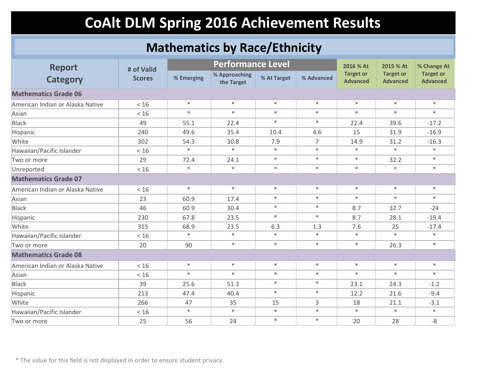### **Mathematics by Race/Ethnicity**

| <b>Report</b>                    | # of Valid    |            | <b>Performance Level</b>    |             |                | 2016 % At                           | 2015 % At                           | % Change At                         |  |  |  |
|----------------------------------|---------------|------------|-----------------------------|-------------|----------------|-------------------------------------|-------------------------------------|-------------------------------------|--|--|--|
| <b>Category</b>                  | <b>Scores</b> | % Emerging | % Approaching<br>the Target | % At Target | % Advanced     | <b>Target or</b><br><b>Advanced</b> | <b>Target or</b><br><b>Advanced</b> | <b>Target or</b><br><b>Advanced</b> |  |  |  |
| <b>Mathematics Grade 06</b>      |               |            |                             |             |                |                                     |                                     |                                     |  |  |  |
| American Indian or Alaska Native | $<16$         | $\ast$     | $\ast$                      | $\ast$      | $\ast$         | $\ast$                              | $\ast$                              | $\ast$                              |  |  |  |
| Asian                            | < 16          | $\ast$     | $\ast$                      | $\ast$      | $\ast$         | $\ast$                              | $\ast$                              | $\ast$                              |  |  |  |
| <b>Black</b>                     | 49            | 55.1       | 22.4                        | $\ast$      | $\ast$         | 22.4                                | 39.6                                | $-17.2$                             |  |  |  |
| Hispanic                         | 240           | 49.6       | 35.4                        | 10.4        | 4.6            | 15                                  | 31.9                                | $-16.9$                             |  |  |  |
| White                            | 302           | 54.3       | 30.8                        | 7.9         | $\overline{7}$ | 14.9                                | 31.2                                | $-16.3$                             |  |  |  |
| Hawaiian/Pacific Islander        | $<16$         | $\ast$     | $\ast$                      | $\ast$      | $\ast$         | $\ast$                              | $\ast$                              | $\ast$                              |  |  |  |
| Two or more                      | 29            | 72.4       | 24.1                        | $\ast$      | $\ast$         | $\ast$                              | 32.2                                | $\ast$                              |  |  |  |
| Unreported                       | < 16          | $\ast$     | $\ast$                      | $\ast$      | $\ast$         | $\ast$                              | $\ast$                              | $\ast$                              |  |  |  |
| <b>Mathematics Grade 07</b>      |               |            |                             |             |                |                                     |                                     |                                     |  |  |  |
| American Indian or Alaska Native | < 16          | $\ast$     | $\ast$                      | $\ast$      | $\ast$         | $\ast$                              | $\ast$                              | $\ast$                              |  |  |  |
| Asian                            | 23            | 60.9       | 17.4                        | $\ast$      | $\ast$         | $\ast$                              | $\ast$                              | $\ast$                              |  |  |  |
| <b>Black</b>                     | 46            | 60.9       | 30.4                        | $\ast$      | $\ast$         | 8.7                                 | 32.7                                | $-24$                               |  |  |  |
| Hispanic                         | 230           | 67.8       | 23.5                        | $\ast$      | $\ast$         | 8.7                                 | 28.1                                | $-19.4$                             |  |  |  |
| White                            | 315           | 68.9       | 23.5                        | 6.3         | 1.3            | 7.6                                 | 25                                  | $-17.4$                             |  |  |  |
| Hawaiian/Pacific Islander        | $<16$         | $\ast$     | $\ast$                      | $\ast$      | $\ast$         | $\ast$                              | $\ast$                              | $\ast$                              |  |  |  |
| Two or more                      | 20            | 90         | $\ast$                      | $\ast$      | $\ast$         | $\ast$                              | 26.3                                | $*$                                 |  |  |  |
| <b>Mathematics Grade 08</b>      |               |            |                             |             |                |                                     |                                     |                                     |  |  |  |
| American Indian or Alaska Native | $<16$         | $\ast$     | $\ast$                      | $\ast$      | $\ast$         | $\ast$                              | $\ast$                              | $\ast$                              |  |  |  |
| Asian                            | < 16          | $\ast$     | $\ast$                      | $\ast$      | $\ast$         | $\ast$                              | $\ast$                              | $\ast$                              |  |  |  |
| <b>Black</b>                     | 39            | 25.6       | 51.3                        | $\ast$      | $\ast$         | 23.1                                | 24.3                                | $-1.2$                              |  |  |  |
| Hispanic                         | 213           | 47.4       | 40.4                        | $\ast$      | $\ast$         | 12.2                                | 21.6                                | $-9.4$                              |  |  |  |
| White                            | 266           | 47         | 35                          | 15          | 3              | 18                                  | 21.1                                | $-3.1$                              |  |  |  |
| Hawaiian/Pacific Islander        | < 16          | $\ast$     | $\ast$                      | $\ast$      | $\ast$         | $\ast$                              | $\ast$                              | $*$                                 |  |  |  |
| Two or more                      | 25            | 56         | 24                          | $\ast$      | $\ast$         | 20                                  | 28                                  | $-8$                                |  |  |  |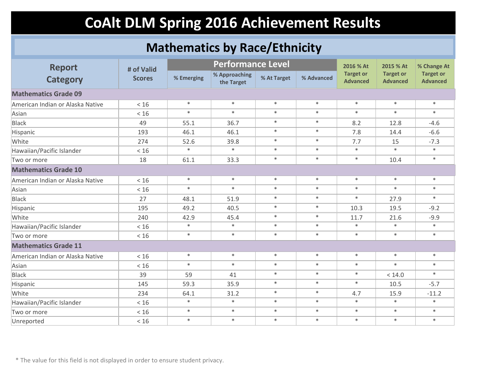### **Mathematics by Race/Ethnicity**

| <b>Report</b>                    | # of Valid    |            | <b>Performance Level</b>    |             |            | 2016 % At                           | 2015 % At                           | % Change At                         |  |
|----------------------------------|---------------|------------|-----------------------------|-------------|------------|-------------------------------------|-------------------------------------|-------------------------------------|--|
| <b>Category</b>                  | <b>Scores</b> | % Emerging | % Approaching<br>the Target | % At Target | % Advanced | <b>Target or</b><br><b>Advanced</b> | <b>Target or</b><br><b>Advanced</b> | <b>Target or</b><br><b>Advanced</b> |  |
| <b>Mathematics Grade 09</b>      |               |            |                             |             |            |                                     |                                     |                                     |  |
| American Indian or Alaska Native | < 16          | $\ast$     | $\ast$                      | $\ast$      | $\ast$     | $\ast$                              | $\ast$                              | $\ast$                              |  |
| Asian                            | < 16          | $\ast$     | $\ast$                      | $\ast$      | $\ast$     | $\ast$                              | $\ast$                              | $\ast$                              |  |
| <b>Black</b>                     | 49            | 55.1       | 36.7                        | $\ast$      | $\ast$     | 8.2                                 | 12.8                                | $-4.6$                              |  |
| Hispanic                         | 193           | 46.1       | 46.1                        | $\ast$      | $\ast$     | 7.8                                 | 14.4                                | $-6.6$                              |  |
| White                            | 274           | 52.6       | 39.8                        | $\ast$      | $\ast$     | 7.7                                 | 15                                  | $-7.3$                              |  |
| Hawaiian/Pacific Islander        | < 16          | $\ast$     | $\ast$                      | $\ast$      | $\ast$     | $\ast$                              | $\ast$                              | $\ast$                              |  |
| Two or more                      | 18            | 61.1       | 33.3                        | $\ast$      | $\ast$     | $\ast$                              | 10.4                                | $\ast$                              |  |
| <b>Mathematics Grade 10</b>      |               |            |                             |             |            |                                     |                                     |                                     |  |
| American Indian or Alaska Native | < 16          | $\ast$     | $\ast$                      | $\ast$      | $\ast$     | $\ast$                              | $\ast$                              | $\ast$                              |  |
| Asian                            | < 16          | $*$        | $\ast$                      | $\ast$      | $\ast$     | $\ast$                              | $\ast$                              | $\ast$                              |  |
| <b>Black</b>                     | 27            | 48.1       | 51.9                        | $\ast$      | $\ast$     | $\ast$                              | 27.9                                | $\ast$                              |  |
| Hispanic                         | 195           | 49.2       | 40.5                        | $\ast$      | $\ast$     | 10.3                                | 19.5                                | $-9.2$                              |  |
| White                            | 240           | 42.9       | 45.4                        | $\ast$      | $\ast$     | 11.7                                | 21.6                                | $-9.9$                              |  |
| Hawaiian/Pacific Islander        | < 16          | $\ast$     | $\ast$                      | $\ast$      | $\ast$     | $\ast$                              | $\ast$                              | $\ast$                              |  |
| Two or more                      | $<16$         | $\ast$     | $\ast$                      | $\ast$      | $\ast$     | $\ast$                              | $\ast$                              | $\ast$                              |  |
| <b>Mathematics Grade 11</b>      |               |            |                             |             |            |                                     |                                     |                                     |  |
| American Indian or Alaska Native | < 16          | $\ast$     | $*$                         | $\ast$      | $\ast$     | $\ast$                              | $\ast$                              | $\ast$                              |  |
| Asian                            | < 16          | $*$        | $\ast$                      | $\ast$      | $\ast$     | $\ast$                              | $\ast$                              | $\ast$                              |  |
| <b>Black</b>                     | 39            | 59         | 41                          | $\ast$      | $\ast$     | $\ast$                              | < 14.0                              | $\ast$                              |  |
| Hispanic                         | 145           | 59.3       | 35.9                        | $\ast$      | $\ast$     | $\ast$                              | 10.5                                | $-5.7$                              |  |
| White                            | 234           | 64.1       | 31.2                        | $\ast$      | $\ast$     | 4.7                                 | 15.9                                | $-11.2$                             |  |
| Hawaiian/Pacific Islander        | < 16          | $\ast$     | $\ast$                      | $\ast$      | $\ast$     | $\ast$                              | $\ast$                              | $\ast$                              |  |
| Two or more                      | $<16$         | $*$        | $\ast$                      | $\ast$      | $\ast$     | $\ast$                              | $\ast$                              | $\ast$                              |  |
| Unreported                       | < 16          | $\ast$     | $\ast$                      | $\ast$      | $\ast$     | $\ast$                              | $\ast$                              | $\ast$                              |  |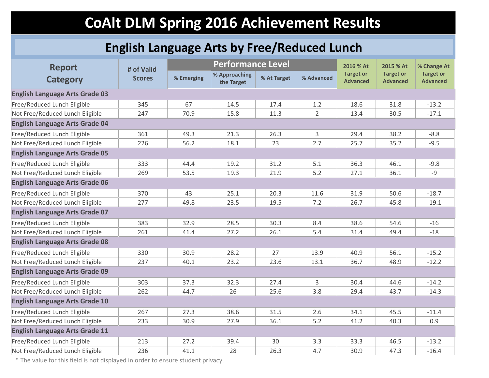### **English Language Arts by Free/Reduced Lunch**

| <b>Report</b>                         | # of Valid    |            | <b>Performance Level</b>    |             |                | 2016 % At                           | 2015 % At                           | % Change At                         |  |
|---------------------------------------|---------------|------------|-----------------------------|-------------|----------------|-------------------------------------|-------------------------------------|-------------------------------------|--|
| <b>Category</b>                       | <b>Scores</b> | % Emerging | % Approaching<br>the Target | % At Target | % Advanced     | <b>Target or</b><br><b>Advanced</b> | <b>Target or</b><br><b>Advanced</b> | <b>Target or</b><br><b>Advanced</b> |  |
| <b>English Language Arts Grade 03</b> |               |            |                             |             |                |                                     |                                     |                                     |  |
| Free/Reduced Lunch Eligible           | 345           | 67         | 14.5                        | 17.4        | 1.2            | 18.6                                | 31.8                                | $-13.2$                             |  |
| Not Free/Reduced Lunch Eligible       | 247           | 70.9       | 15.8                        | 11.3        | $\overline{2}$ | 13.4                                | 30.5                                | $-17.1$                             |  |
| <b>English Language Arts Grade 04</b> |               |            |                             |             |                |                                     |                                     |                                     |  |
| Free/Reduced Lunch Eligible           | 361           | 49.3       | 21.3                        | 26.3        | 3              | 29.4                                | 38.2                                | $-8.8$                              |  |
| Not Free/Reduced Lunch Eligible       | 226           | 56.2       | 18.1                        | 23          | 2.7            | 25.7                                | 35.2                                | $-9.5$                              |  |
| <b>English Language Arts Grade 05</b> |               |            |                             |             |                |                                     |                                     |                                     |  |
| Free/Reduced Lunch Eligible           | 333           | 44.4       | 19.2                        | 31.2        | 5.1            | 36.3                                | 46.1                                | $-9.8$                              |  |
| Not Free/Reduced Lunch Eligible       | 269           | 53.5       | 19.3                        | 21.9        | 5.2            | 27.1                                | 36.1                                | $-9$                                |  |
| <b>English Language Arts Grade 06</b> |               |            |                             |             |                |                                     |                                     |                                     |  |
| Free/Reduced Lunch Eligible           | 370           | 43         | 25.1                        | 20.3        | 11.6           | 31.9                                | 50.6                                | $-18.7$                             |  |
| Not Free/Reduced Lunch Eligible       | 277           | 49.8       | 23.5                        | 19.5        | 7.2            | 26.7                                | 45.8                                | $-19.1$                             |  |
| <b>English Language Arts Grade 07</b> |               |            |                             |             |                |                                     |                                     |                                     |  |
| Free/Reduced Lunch Eligible           | 383           | 32.9       | 28.5                        | 30.3        | 8.4            | 38.6                                | 54.6                                | $-16$                               |  |
| Not Free/Reduced Lunch Eligible       | 261           | 41.4       | 27.2                        | 26.1        | 5.4            | 31.4                                | 49.4                                | $-18$                               |  |
| <b>English Language Arts Grade 08</b> |               |            |                             |             |                |                                     |                                     |                                     |  |
| Free/Reduced Lunch Eligible           | 330           | 30.9       | 28.2                        | 27          | 13.9           | 40.9                                | 56.1                                | $-15.2$                             |  |
| Not Free/Reduced Lunch Eligible       | 237           | 40.1       | 23.2                        | 23.6        | 13.1           | 36.7                                | 48.9                                | $-12.2$                             |  |
| <b>English Language Arts Grade 09</b> |               |            |                             |             |                |                                     |                                     |                                     |  |
| Free/Reduced Lunch Eligible           | 303           | 37.3       | 32.3                        | 27.4        | 3              | 30.4                                | 44.6                                | $-14.2$                             |  |
| Not Free/Reduced Lunch Eligible       | 262           | 44.7       | 26                          | 25.6        | 3.8            | 29.4                                | 43.7                                | $-14.3$                             |  |
| <b>English Language Arts Grade 10</b> |               |            |                             |             |                |                                     |                                     |                                     |  |
| Free/Reduced Lunch Eligible           | 267           | 27.3       | 38.6                        | 31.5        | 2.6            | 34.1                                | 45.5                                | $-11.4$                             |  |
| Not Free/Reduced Lunch Eligible       | 233           | 30.9       | 27.9                        | 36.1        | 5.2            | 41.2                                | 40.3                                | 0.9                                 |  |
| <b>English Language Arts Grade 11</b> |               |            |                             |             |                |                                     |                                     |                                     |  |
| Free/Reduced Lunch Eligible           | 213           | 27.2       | 39.4                        | 30          | 3.3            | 33.3                                | 46.5                                | $-13.2$                             |  |
| Not Free/Reduced Lunch Eligible       | 236           | 41.1       | 28                          | 26.3        | 4.7            | 30.9                                | 47.3                                | $-16.4$                             |  |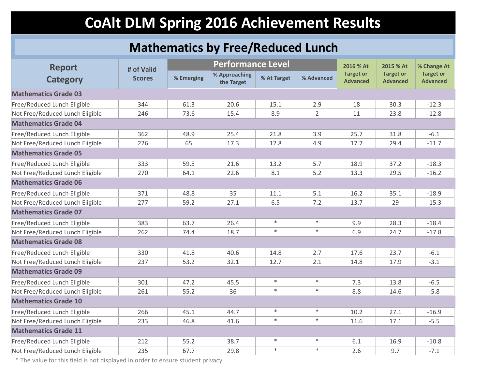### **Mathematics by Free/Reduced Lunch**

| <b>Report</b>                   | # of Valid    |            | <b>Performance Level</b>    |             |                | 2016 % At                           | 2015 % At                           | % Change At                         |
|---------------------------------|---------------|------------|-----------------------------|-------------|----------------|-------------------------------------|-------------------------------------|-------------------------------------|
| <b>Category</b>                 | <b>Scores</b> | % Emerging | % Approaching<br>the Target | % At Target | % Advanced     | <b>Target or</b><br><b>Advanced</b> | <b>Target or</b><br><b>Advanced</b> | <b>Target or</b><br><b>Advanced</b> |
| <b>Mathematics Grade 03</b>     |               |            |                             |             |                |                                     |                                     |                                     |
| Free/Reduced Lunch Eligible     | 344           | 61.3       | 20.6                        | 15.1        | 2.9            | 18                                  | 30.3                                | $-12.3$                             |
| Not Free/Reduced Lunch Eligible | 246           | 73.6       | 15.4                        | 8.9         | $\overline{2}$ | 11                                  | 23.8                                | $-12.8$                             |
| <b>Mathematics Grade 04</b>     |               |            |                             |             |                |                                     |                                     |                                     |
| Free/Reduced Lunch Eligible     | 362           | 48.9       | 25.4                        | 21.8        | 3.9            | 25.7                                | 31.8                                | $-6.1$                              |
| Not Free/Reduced Lunch Eligible | 226           | 65         | 17.3                        | 12.8        | 4.9            | 17.7                                | 29.4                                | $-11.7$                             |
| <b>Mathematics Grade 05</b>     |               |            |                             |             |                |                                     |                                     |                                     |
| Free/Reduced Lunch Eligible     | 333           | 59.5       | 21.6                        | 13.2        | 5.7            | 18.9                                | 37.2                                | $-18.3$                             |
| Not Free/Reduced Lunch Eligible | 270           | 64.1       | 22.6                        | 8.1         | 5.2            | 13.3                                | 29.5                                | $-16.2$                             |
| <b>Mathematics Grade 06</b>     |               |            |                             |             |                |                                     |                                     |                                     |
| Free/Reduced Lunch Eligible     | 371           | 48.8       | 35                          | 11.1        | 5.1            | 16.2                                | 35.1                                | $-18.9$                             |
| Not Free/Reduced Lunch Eligible | 277           | 59.2       | 27.1                        | 6.5         | 7.2            | 13.7                                | 29                                  | $-15.3$                             |
| <b>Mathematics Grade 07</b>     |               |            |                             |             |                |                                     |                                     |                                     |
| Free/Reduced Lunch Eligible     | 383           | 63.7       | 26.4                        | $\ast$      | $\ast$         | 9.9                                 | 28.3                                | $-18.4$                             |
| Not Free/Reduced Lunch Eligible | 262           | 74.4       | 18.7                        | $\ast$      | $\ast$         | 6.9                                 | 24.7                                | $-17.8$                             |
| <b>Mathematics Grade 08</b>     |               |            |                             |             |                |                                     |                                     |                                     |
| Free/Reduced Lunch Eligible     | 330           | 41.8       | 40.6                        | 14.8        | 2.7            | 17.6                                | 23.7                                | $-6.1$                              |
| Not Free/Reduced Lunch Eligible | 237           | 53.2       | 32.1                        | 12.7        | 2.1            | 14.8                                | 17.9                                | $-3.1$                              |
| <b>Mathematics Grade 09</b>     |               |            |                             |             |                |                                     |                                     |                                     |
| Free/Reduced Lunch Eligible     | 301           | 47.2       | 45.5                        | $\ast$      | $\ast$         | 7.3                                 | 13.8                                | $-6.5$                              |
| Not Free/Reduced Lunch Eligible | 261           | 55.2       | 36                          | $\ast$      | $\ast$         | 8.8                                 | 14.6                                | $-5.8$                              |
| <b>Mathematics Grade 10</b>     |               |            |                             |             |                |                                     |                                     |                                     |
| Free/Reduced Lunch Eligible     | 266           | 45.1       | 44.7                        | $\ast$      | $\ast$         | 10.2                                | 27.1                                | $-16.9$                             |
| Not Free/Reduced Lunch Eligible | 233           | 46.8       | 41.6                        | $\ast$      | $\ast$         | 11.6                                | 17.1                                | $-5.5$                              |
| <b>Mathematics Grade 11</b>     |               |            |                             |             |                |                                     |                                     |                                     |
| Free/Reduced Lunch Eligible     | 212           | 55.2       | 38.7                        | $\ast$      | $\ast$         | 6.1                                 | 16.9                                | $-10.8$                             |
| Not Free/Reduced Lunch Eligible | 235           | 67.7       | 29.8                        | $\ast$      | $\ast$         | 2.6                                 | 9.7                                 | $-7.1$                              |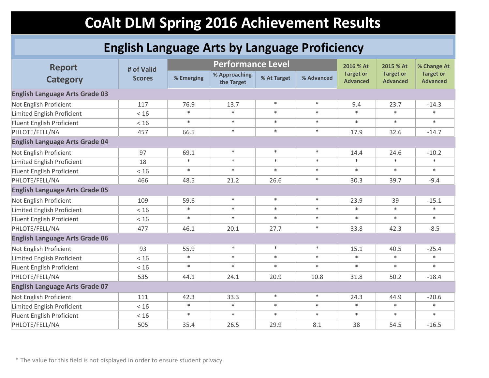### **English Language Arts by Language Proficiency**

| <b>Report</b>                         | # of Valid    |            | <b>Performance Level</b>    |             |            | 2016 % At                           | 2015 % At                           | % Change At                         |  |  |
|---------------------------------------|---------------|------------|-----------------------------|-------------|------------|-------------------------------------|-------------------------------------|-------------------------------------|--|--|
| <b>Category</b>                       | <b>Scores</b> | % Emerging | % Approaching<br>the Target | % At Target | % Advanced | <b>Target or</b><br><b>Advanced</b> | <b>Target or</b><br><b>Advanced</b> | <b>Target or</b><br><b>Advanced</b> |  |  |
| <b>English Language Arts Grade 03</b> |               |            |                             |             |            |                                     |                                     |                                     |  |  |
| Not English Proficient                | 117           | 76.9       | 13.7                        | $\ast$      | $\ast$     | 9.4                                 | 23.7                                | $-14.3$                             |  |  |
| Limited English Proficient            | < 16          | $\ast$     | $\ast$                      | $\ast$      | $\ast$     | $\ast$                              | $\ast$                              | $\ast$                              |  |  |
| Fluent English Proficient             | < 16          | $\ast$     | $\ast$                      | $\ast$      | $\ast$     | $\ast$                              | $\ast$                              | $\ast$                              |  |  |
| PHLOTE/FELL/NA                        | 457           | 66.5       | $\ast$                      | $\ast$      | $\ast$     | 17.9                                | 32.6                                | $-14.7$                             |  |  |
| <b>English Language Arts Grade 04</b> |               |            |                             |             |            |                                     |                                     |                                     |  |  |
| Not English Proficient                | 97            | 69.1       | $\ast$                      | $\ast$      | $\ast$     | 14.4                                | 24.6                                | $-10.2$                             |  |  |
| Limited English Proficient            | 18            | $\ast$     | $\ast$                      | $\ast$      | $\ast$     | $\ast$                              | $\ast$                              | $\ast$                              |  |  |
| Fluent English Proficient             | < 16          | $\ast$     | $\ast$                      | $\ast$      | $\ast$     | $\ast$                              | $\ast$                              | $\ast$                              |  |  |
| PHLOTE/FELL/NA                        | 466           | 48.5       | 21.2                        | 26.6        | $\ast$     | 30.3                                | 39.7                                | $-9.4$                              |  |  |
| <b>English Language Arts Grade 05</b> |               |            |                             |             |            |                                     |                                     |                                     |  |  |
| Not English Proficient                | 109           | 59.6       | $\ast$                      | $\ast$      | $\ast$     | 23.9                                | 39                                  | $-15.1$                             |  |  |
| Limited English Proficient            | $<16$         | $\ast$     | $\ast$                      | $\ast$      | $\ast$     | $\ast$                              | $\ast$                              | $\ast$                              |  |  |
| Fluent English Proficient             | < 16          | $\ast$     | $\ast$                      | $\ast$      | $\ast$     | $\ast$                              | $\ast$                              | $\ast$                              |  |  |
| PHLOTE/FELL/NA                        | 477           | 46.1       | 20.1                        | 27.7        | $\ast$     | 33.8                                | 42.3                                | $-8.5$                              |  |  |
| <b>English Language Arts Grade 06</b> |               |            |                             |             |            |                                     |                                     |                                     |  |  |
| Not English Proficient                | 93            | 55.9       | $\ast$                      | $\ast$      | $\ast$     | 15.1                                | 40.5                                | $-25.4$                             |  |  |
| Limited English Proficient            | $<16$         | $\ast$     | $\ast$                      | $\ast$      | $\ast$     | $\ast$                              | $\ast$                              | $\ast$                              |  |  |
| Fluent English Proficient             | $<16$         | $\ast$     | $\ast$                      | $\ast$      | $\ast$     | $\ast$                              | $\ast$                              | $\ast$                              |  |  |
| PHLOTE/FELL/NA                        | 535           | 44.1       | 24.1                        | 20.9        | 10.8       | 31.8                                | 50.2                                | $-18.4$                             |  |  |
| <b>English Language Arts Grade 07</b> |               |            |                             |             |            |                                     |                                     |                                     |  |  |
| Not English Proficient                | 111           | 42.3       | 33.3                        | $\ast$      | $\ast$     | 24.3                                | 44.9                                | $-20.6$                             |  |  |
| Limited English Proficient            | < 16          | $\ast$     | $\ast$                      | $\ast$      | $\ast$     | $\ast$                              | $\ast$                              | $\ast$                              |  |  |
| Fluent English Proficient             | < 16          | $*$        | $\ast$                      | $\ast$      | $\ast$     | $\ast$                              | $\ast$                              | $\ast$                              |  |  |
| PHLOTE/FELL/NA                        | 505           | 35.4       | 26.5                        | 29.9        | 8.1        | 38                                  | 54.5                                | $-16.5$                             |  |  |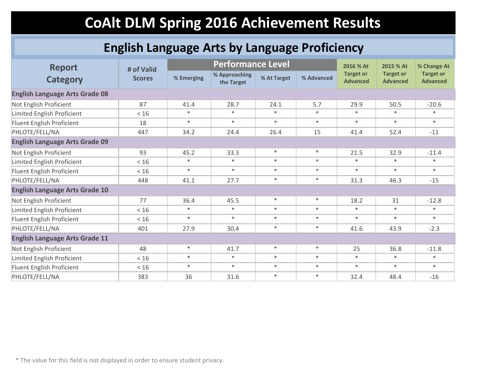### **English Language Arts by Language Proficiency**

| <b>Report</b>                         | # of Valid    |            | <b>Performance Level</b>    |             |            |                                     | 2015 % At                           | % Change At                         |  |
|---------------------------------------|---------------|------------|-----------------------------|-------------|------------|-------------------------------------|-------------------------------------|-------------------------------------|--|
| <b>Category</b>                       | <b>Scores</b> | % Emerging | % Approaching<br>the Target | % At Target | % Advanced | <b>Target or</b><br><b>Advanced</b> | <b>Target or</b><br><b>Advanced</b> | <b>Target or</b><br><b>Advanced</b> |  |
| <b>English Language Arts Grade 08</b> |               |            |                             |             |            |                                     |                                     |                                     |  |
| Not English Proficient                | 87            | 41.4       | 28.7                        | 24.1        | 5.7        | 29.9                                | 50.5                                | $-20.6$                             |  |
| Limited English Proficient            | $<16$         | $\ast$     | $\ast$                      | $\ast$      | $\ast$     | $\ast$                              | $\ast$                              | $\ast$                              |  |
| Fluent English Proficient             | 18            | $*$        | $\ast$                      | $\ast$      | $\ast$     | $\ast$                              | $\ast$                              | $\ast$                              |  |
| PHLOTE/FELL/NA                        | 447           | 34.2       | 24.4                        | 26.4        | 15         | 41.4                                | 52.4                                | $-11$                               |  |
| <b>English Language Arts Grade 09</b> |               |            |                             |             |            |                                     |                                     |                                     |  |
| Not English Proficient                | 93            | 45.2       | 33.3                        | $\ast$      | $\ast$     | 21.5                                | 32.9                                | $-11.4$                             |  |
| Limited English Proficient            | < 16          | $\ast$     | $\ast$                      | $*$         | $\ast$     | $\ast$                              | $\ast$                              | $\ast$                              |  |
| Fluent English Proficient             | < 16          | $\ast$     | $\ast$                      | $\ast$      | $\ast$     | $\ast$                              | $\ast$                              | $\ast$                              |  |
| PHLOTE/FELL/NA                        | 448           | 41.1       | 27.7                        | $\ast$      | $\ast$     | 31.3                                | 46.3                                | $-15$                               |  |
| <b>English Language Arts Grade 10</b> |               |            |                             |             |            |                                     |                                     |                                     |  |
| Not English Proficient                | 77            | 36.4       | 45.5                        | $\ast$      | $\ast$     | 18.2                                | 31                                  | $-12.8$                             |  |
| Limited English Proficient            | < 16          | $*$        | $\ast$                      | $\ast$      | $\ast$     | $\ast$                              | $\ast$                              | $\ast$                              |  |
| Fluent English Proficient             | < 16          | $\ast$     | $\ast$                      | $\ast$      | $\ast$     | $\ast$                              | $\ast$                              | $\ast$                              |  |
| PHLOTE/FELL/NA                        | 401           | 27.9       | 30.4                        | $\ast$      | $\ast$     | 41.6                                | 43.9                                | $-2.3$                              |  |
| <b>English Language Arts Grade 11</b> |               |            |                             |             |            |                                     |                                     |                                     |  |
| Not English Proficient                | 48            | $\ast$     | 41.7                        | $\ast$      | $\ast$     | 25                                  | 36.8                                | $-11.8$                             |  |
| Limited English Proficient            | < 16          | $\ast$     | $\ast$                      | $\ast$      | $\ast$     | $\ast$                              | $\ast$                              | $\ast$                              |  |
| Fluent English Proficient             | < 16          | $\ast$     | $\ast$                      | $\ast$      | $\ast$     | $\ast$                              | $\ast$                              | $\ast$                              |  |
| PHLOTE/FELL/NA                        | 383           | 36         | 31.6                        | $\ast$      | $\ast$     | 32.4                                | 48.4                                | $-16$                               |  |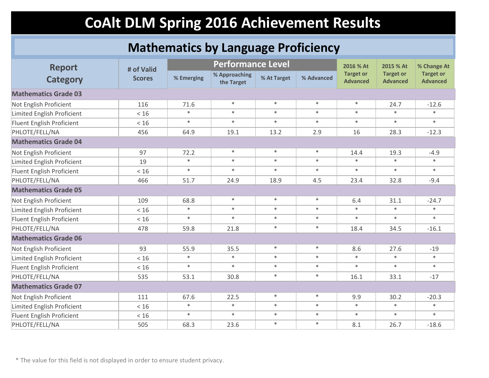#### **Mathematics by Language Proficiency**

| <b>Report</b><br><b>Category</b> | # of Valid    |            | <b>Performance Level</b>    |             |            | 2016 % At                           | 2015 % At<br><b>Target or</b><br><b>Advanced</b> | % Change At<br><b>Target or</b><br><b>Advanced</b> |
|----------------------------------|---------------|------------|-----------------------------|-------------|------------|-------------------------------------|--------------------------------------------------|----------------------------------------------------|
|                                  | <b>Scores</b> | % Emerging | % Approaching<br>the Target | % At Target | % Advanced | <b>Target or</b><br><b>Advanced</b> |                                                  |                                                    |
| <b>Mathematics Grade 03</b>      |               |            |                             |             |            |                                     |                                                  |                                                    |
| Not English Proficient           | 116           | 71.6       | $\ast$                      | $\ast$      | $\ast$     | $\ast$                              | 24.7                                             | $-12.6$                                            |
| Limited English Proficient       | < 16          | $\ast$     | $\ast$                      | $\ast$      | $\ast$     | $\ast$                              | $\ast$                                           | $\ast$                                             |
| Fluent English Proficient        | $<16$         | $\ast$     | $\ast$                      | $\ast$      | $\ast$     | $\ast$                              | $\ast$                                           | $\ast$                                             |
| PHLOTE/FELL/NA                   | 456           | 64.9       | 19.1                        | 13.2        | 2.9        | 16                                  | 28.3                                             | $-12.3$                                            |
| <b>Mathematics Grade 04</b>      |               |            |                             |             |            |                                     |                                                  |                                                    |
| Not English Proficient           | 97            | 72.2       | $\ast$                      | $\ast$      | $\ast$     | 14.4                                | 19.3                                             | $-4.9$                                             |
| Limited English Proficient       | 19            | $\ast$     | $\ast$                      | $\ast$      | $\ast$     | $\ast$                              | $\ast$                                           | $\ast$                                             |
| Fluent English Proficient        | < 16          | $\ast$     | $\ast$                      | $\ast$      | $\ast$     | $\ast$                              | $\ast$                                           | $\ast$                                             |
| PHLOTE/FELL/NA                   | 466           | 51.7       | 24.9                        | 18.9        | 4.5        | 23.4                                | 32.8                                             | $-9.4$                                             |
| <b>Mathematics Grade 05</b>      |               |            |                             |             |            |                                     |                                                  |                                                    |
| Not English Proficient           | 109           | 68.8       | $\ast$                      | $\ast$      | $\ast$     | 6.4                                 | 31.1                                             | $-24.7$                                            |
| Limited English Proficient       | < 16          | $\ast$     | $\ast$                      | $\ast$      | $\ast$     | $\ast$                              | $\ast$                                           | $\ast$                                             |
| Fluent English Proficient        | < 16          | $\ast$     | $\ast$                      | $\ast$      | $\ast$     | $\ast$                              | $\ast$                                           | $\ast$                                             |
| PHLOTE/FELL/NA                   | 478           | 59.8       | 21.8                        | $\ast$      | $\ast$     | 18.4                                | 34.5                                             | $-16.1$                                            |
| <b>Mathematics Grade 06</b>      |               |            |                             |             |            |                                     |                                                  |                                                    |
| Not English Proficient           | 93            | 55.9       | 35.5                        | $\ast$      | $\ast$     | 8.6                                 | 27.6                                             | $-19$                                              |
| Limited English Proficient       | $<16$         | $\ast$     | $\ast$                      | $\ast$      | $\ast$     | $\ast$                              | $\ast$                                           | $\ast$                                             |
| Fluent English Proficient        | $<16$         | $\ast$     | $\ast$                      | $\ast$      | $\ast$     | $\ast$                              | $\ast$                                           | $\ast$                                             |
| PHLOTE/FELL/NA                   | 535           | 53.1       | 30.8                        | $\ast$      | $\ast$     | 16.1                                | 33.1                                             | $-17$                                              |
| <b>Mathematics Grade 07</b>      |               |            |                             |             |            |                                     |                                                  |                                                    |
| Not English Proficient           | 111           | 67.6       | 22.5                        | $\ast$      | $\ast$     | 9.9                                 | 30.2                                             | $-20.3$                                            |
| Limited English Proficient       | < 16          | $\ast$     | $\ast$                      | $\ast$      | $\ast$     | $\ast$                              | $\ast$                                           | $\ast$                                             |
| Fluent English Proficient        | < 16          | $\ast$     | $\ast$                      | $\ast$      | $\ast$     | $\ast$                              | $\ast$                                           | $\ast$                                             |
| PHLOTE/FELL/NA                   | 505           | 68.3       | 23.6                        | $\ast$      | $\ast$     | 8.1                                 | 26.7                                             | $-18.6$                                            |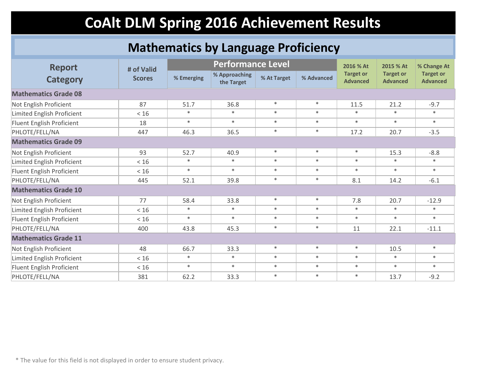#### **Mathematics by Language Proficiency**

| <b>Report</b><br><b>Category</b> |                             |            | <b>Performance Level</b>    |             |            | 2016 % At                           | 2015 % At                           | % Change At                         |
|----------------------------------|-----------------------------|------------|-----------------------------|-------------|------------|-------------------------------------|-------------------------------------|-------------------------------------|
|                                  | # of Valid<br><b>Scores</b> | % Emerging | % Approaching<br>the Target | % At Target | % Advanced | <b>Target or</b><br><b>Advanced</b> | <b>Target or</b><br><b>Advanced</b> | <b>Target or</b><br><b>Advanced</b> |
| <b>Mathematics Grade 08</b>      |                             |            |                             |             |            |                                     |                                     |                                     |
| Not English Proficient           | 87                          | 51.7       | 36.8                        | $\ast$      | $\ast$     | 11.5                                | 21.2                                | $-9.7$                              |
| Limited English Proficient       | < 16                        | $\ast$     | $\ast$                      | $*$         | $\ast$     | $\ast$                              | $\ast$                              | $\ast$                              |
| Fluent English Proficient        | 18                          | $*$        | $\ast$                      | $\ast$      | $\ast$     | $\ast$                              | $\ast$                              | $\ast$                              |
| PHLOTE/FELL/NA                   | 447                         | 46.3       | 36.5                        | $\ast$      | $\ast$     | 17.2                                | 20.7                                | $-3.5$                              |
| <b>Mathematics Grade 09</b>      |                             |            |                             |             |            |                                     |                                     |                                     |
| Not English Proficient           | 93                          | 52.7       | 40.9                        | $\ast$      | $\ast$     | $\ast$                              | 15.3                                | $-8.8$                              |
| Limited English Proficient       | < 16                        | $\ast$     | $\ast$                      | $\ast$      | $\ast$     | $\ast$                              | $\ast$                              | $\ast$                              |
| Fluent English Proficient        | < 16                        | $\ast$     | $\ast$                      | $\ast$      | $\ast$     | $\ast$                              | $\ast$                              | $\ast$                              |
| PHLOTE/FELL/NA                   | 445                         | 52.1       | 39.8                        | $\ast$      | $\ast$     | 8.1                                 | 14.2                                | $-6.1$                              |
| <b>Mathematics Grade 10</b>      |                             |            |                             |             |            |                                     |                                     |                                     |
| Not English Proficient           | 77                          | 58.4       | 33.8                        | $\ast$      | $\ast$     | 7.8                                 | 20.7                                | $-12.9$                             |
| Limited English Proficient       | < 16                        | $\ast$     | $\ast$                      | $\ast$      | $\ast$     | $\ast$                              | $\ast$                              | $\ast$                              |
| Fluent English Proficient        | < 16                        | $\ast$     | $\ast$                      | $\ast$      | $\ast$     | $\ast$                              | $\ast$                              | $\ast$                              |
| PHLOTE/FELL/NA                   | 400                         | 43.8       | 45.3                        | $\ast$      | $\ast$     | 11                                  | 22.1                                | $-11.1$                             |
| <b>Mathematics Grade 11</b>      |                             |            |                             |             |            |                                     |                                     |                                     |
| Not English Proficient           | 48                          | 66.7       | 33.3                        | $\ast$      | $\ast$     | $\ast$                              | 10.5                                | $\ast$                              |
| Limited English Proficient       | < 16                        | $\ast$     | $\ast$                      | $\ast$      | $\ast$     | $\ast$                              | $\ast$                              | $\ast$                              |
| Fluent English Proficient        | < 16                        | $\ast$     | $\ast$                      | $\ast$      | $\ast$     | $\ast$                              | $\ast$                              | $\ast$                              |
| PHLOTE/FELL/NA                   | 381                         | 62.2       | 33.3                        | $\ast$      | $\ast$     | $\ast$                              | 13.7                                | $-9.2$                              |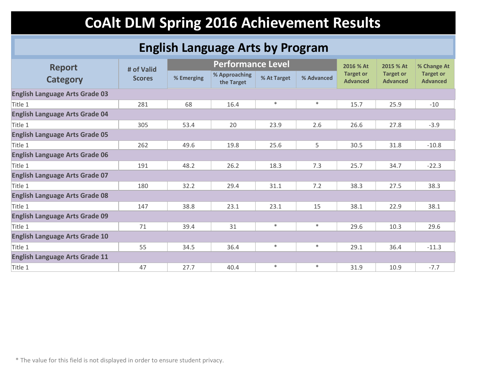### **English Language Arts by Program**

| <b>Report</b>                         |                             | <b>Performance Level</b> |                             |             |            | 2016 % At                           | 2015 % At                           | % Change At                         |
|---------------------------------------|-----------------------------|--------------------------|-----------------------------|-------------|------------|-------------------------------------|-------------------------------------|-------------------------------------|
| <b>Category</b>                       | # of Valid<br><b>Scores</b> | % Emerging               | % Approaching<br>the Target | % At Target | % Advanced | <b>Target or</b><br><b>Advanced</b> | <b>Target or</b><br><b>Advanced</b> | <b>Target or</b><br><b>Advanced</b> |
| <b>English Language Arts Grade 03</b> |                             |                          |                             |             |            |                                     |                                     |                                     |
| Title 1                               | 281                         | 68                       | 16.4                        | $\ast$      | $\ast$     | 15.7                                | 25.9                                | $-10$                               |
| <b>English Language Arts Grade 04</b> |                             |                          |                             |             |            |                                     |                                     |                                     |
| Title 1                               | 305                         | 53.4                     | 20                          | 23.9        | 2.6        | 26.6                                | 27.8                                | $-3.9$                              |
| <b>English Language Arts Grade 05</b> |                             |                          |                             |             |            |                                     |                                     |                                     |
| Title 1                               | 262                         | 49.6                     | 19.8                        | 25.6        | 5          | 30.5                                | 31.8                                | $-10.8$                             |
| <b>English Language Arts Grade 06</b> |                             |                          |                             |             |            |                                     |                                     |                                     |
| Title 1                               | 191                         | 48.2                     | 26.2                        | 18.3        | 7.3        | 25.7                                | 34.7                                | $-22.3$                             |
| <b>English Language Arts Grade 07</b> |                             |                          |                             |             |            |                                     |                                     |                                     |
| Title 1                               | 180                         | 32.2                     | 29.4                        | 31.1        | 7.2        | 38.3                                | 27.5                                | 38.3                                |
| <b>English Language Arts Grade 08</b> |                             |                          |                             |             |            |                                     |                                     |                                     |
| Title 1                               | 147                         | 38.8                     | 23.1                        | 23.1        | 15         | 38.1                                | 22.9                                | 38.1                                |
| <b>English Language Arts Grade 09</b> |                             |                          |                             |             |            |                                     |                                     |                                     |
| Title 1                               | 71                          | 39.4                     | 31                          | $\ast$      | $\ast$     | 29.6                                | 10.3                                | 29.6                                |
| <b>English Language Arts Grade 10</b> |                             |                          |                             |             |            |                                     |                                     |                                     |
| Title 1                               | 55                          | 34.5                     | 36.4                        | $\ast$      | $\ast$     | 29.1                                | 36.4                                | $-11.3$                             |
| <b>English Language Arts Grade 11</b> |                             |                          |                             |             |            |                                     |                                     |                                     |
| Title 1                               | 47                          | 27.7                     | 40.4                        | $\ast$      | $\ast$     | 31.9                                | 10.9                                | $-7.7$                              |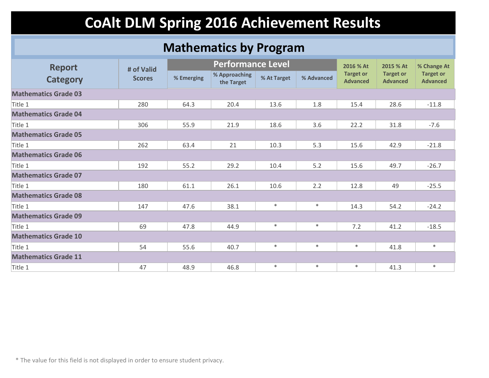#### **Mathematics by Program**

| <b>Report</b>               | # of Valid    |            | <b>Performance Level</b>    |             |            |                                     | 2015 % At                           | % Change At                         |
|-----------------------------|---------------|------------|-----------------------------|-------------|------------|-------------------------------------|-------------------------------------|-------------------------------------|
| <b>Category</b>             | <b>Scores</b> | % Emerging | % Approaching<br>the Target | % At Target | % Advanced | <b>Target or</b><br><b>Advanced</b> | <b>Target or</b><br><b>Advanced</b> | <b>Target or</b><br><b>Advanced</b> |
| <b>Mathematics Grade 03</b> |               |            |                             |             |            |                                     |                                     |                                     |
| Title 1                     | 280           | 64.3       | 20.4                        | 13.6        | 1.8        | 15.4                                | 28.6                                | $-11.8$                             |
| <b>Mathematics Grade 04</b> |               |            |                             |             |            |                                     |                                     |                                     |
| Title 1                     | 306           | 55.9       | 21.9                        | 18.6        | 3.6        | 22.2                                | 31.8                                | $-7.6$                              |
| <b>Mathematics Grade 05</b> |               |            |                             |             |            |                                     |                                     |                                     |
| Title 1                     | 262           | 63.4       | 21                          | 10.3        | 5.3        | 15.6                                | 42.9                                | $-21.8$                             |
| <b>Mathematics Grade 06</b> |               |            |                             |             |            |                                     |                                     |                                     |
| Title 1                     | 192           | 55.2       | 29.2                        | 10.4        | 5.2        | 15.6                                | 49.7                                | $-26.7$                             |
| <b>Mathematics Grade 07</b> |               |            |                             |             |            |                                     |                                     |                                     |
| Title 1                     | 180           | 61.1       | 26.1                        | 10.6        | 2.2        | 12.8                                | 49                                  | $-25.5$                             |
| <b>Mathematics Grade 08</b> |               |            |                             |             |            |                                     |                                     |                                     |
| Title 1                     | 147           | 47.6       | 38.1                        | $\ast$      | $\ast$     | 14.3                                | 54.2                                | $-24.2$                             |
| <b>Mathematics Grade 09</b> |               |            |                             |             |            |                                     |                                     |                                     |
| Title 1                     | 69            | 47.8       | 44.9                        | $\ast$      | $\ast$     | 7.2                                 | 41.2                                | $-18.5$                             |
| <b>Mathematics Grade 10</b> |               |            |                             |             |            |                                     |                                     |                                     |
| Title 1                     | 54            | 55.6       | 40.7                        | $\ast$      | $\ast$     | $\ast$                              | 41.8                                | $\ast$                              |
| <b>Mathematics Grade 11</b> |               |            |                             |             |            |                                     |                                     |                                     |
| Title 1                     | 47            | 48.9       | 46.8                        | $\ast$      | $\ast$     | $\ast$                              | 41.3                                | $\ast$                              |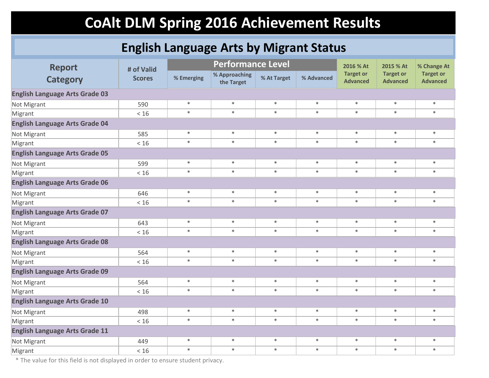### **English Language Arts by Migrant Status**

| <b>Report</b>                         | # of Valid    | <b>Performance Level</b> |                             |             |            | 2016 % At                           | 2015 % At                           | % Change At                         |
|---------------------------------------|---------------|--------------------------|-----------------------------|-------------|------------|-------------------------------------|-------------------------------------|-------------------------------------|
| <b>Category</b>                       | <b>Scores</b> | % Emerging               | % Approaching<br>the Target | % At Target | % Advanced | <b>Target or</b><br><b>Advanced</b> | <b>Target or</b><br><b>Advanced</b> | <b>Target or</b><br><b>Advanced</b> |
| <b>English Language Arts Grade 03</b> |               |                          |                             |             |            |                                     |                                     |                                     |
| Not Migrant                           | 590           | $\ast$                   | $\ast$                      | $\ast$      | $\ast$     | $\ast$                              | $\ast$                              | $\ast$                              |
| Migrant                               | < 16          | $\ast$                   | $\ast$                      | $\ast$      | $\ast$     | $\ast$                              | $\ast$                              | $\ast$                              |
| <b>English Language Arts Grade 04</b> |               |                          |                             |             |            |                                     |                                     |                                     |
| Not Migrant                           | 585           | $\ast$                   | $\ast$                      | $\ast$      | $\ast$     | $\ast$                              | $\ast$                              | $\ast$                              |
| Migrant                               | < 16          | $\ast$                   | $\ast$                      | $\ast$      | $\ast$     | $\ast$                              | $\ast$                              | $\ast$                              |
| <b>English Language Arts Grade 05</b> |               |                          |                             |             |            |                                     |                                     |                                     |
| Not Migrant                           | 599           | $\ast$                   | $\ast$                      | $\ast$      | $\ast$     | $\ast$                              | $\ast$                              | $\ast$                              |
| Migrant                               | < 16          | $\ast$                   | $\ast$                      | $\ast$      | $\ast$     | $\ast$                              | $\ast$                              | $\ast$                              |
| <b>English Language Arts Grade 06</b> |               |                          |                             |             |            |                                     |                                     |                                     |
| Not Migrant                           | 646           | $\ast$                   | $\ast$                      | $\ast$      | $\ast$     | $\ast$                              | $\ast$                              | $\ast$                              |
| Migrant                               | < 16          | $\ast$                   | $\ast$                      | $\ast$      | $\ast$     | $\ast$                              | $\ast$                              | $\ast$                              |
| <b>English Language Arts Grade 07</b> |               |                          |                             |             |            |                                     |                                     |                                     |
| Not Migrant                           | 643           | $\ast$                   | $\ast$                      | $\ast$      | $\ast$     | $\ast$                              | $\ast$                              | $\ast$                              |
| Migrant                               | < 16          | $\ast$                   | $\ast$                      | $\ast$      | $\ast$     | $\ast$                              | $\ast$                              | $\ast$                              |
| <b>English Language Arts Grade 08</b> |               |                          |                             |             |            |                                     |                                     |                                     |
| Not Migrant                           | 564           | $\ast$                   | $\ast$                      | $\ast$      | $\ast$     | $\ast$                              | $\ast$                              | $\ast$                              |
| Migrant                               | < 16          | $\ast$                   | $\ast$                      | $\ast$      | $\ast$     | $\ast$                              | $\ast$                              | $\ast$                              |
| <b>English Language Arts Grade 09</b> |               |                          |                             |             |            |                                     |                                     |                                     |
| Not Migrant                           | 564           | $\ast$                   | $\ast$                      | $\ast$      | $\ast$     | $\ast$                              | $\ast$                              | $\ast$                              |
| Migrant                               | $<16$         | $\ast$                   | $\ast$                      | $\ast$      | $\ast$     | $\ast$                              | $\ast$                              | $\ast$                              |
| <b>English Language Arts Grade 10</b> |               |                          |                             |             |            |                                     |                                     |                                     |
| Not Migrant                           | 498           | $\ast$                   | $\ast$                      | $\ast$      | $\ast$     | $\ast$                              | $\ast$                              | $\ast$                              |
| Migrant                               | < 16          | $\ast$                   | $\ast$                      | $\ast$      | $\ast$     | $\ast$                              | $\ast$                              | $\ast$                              |
| <b>English Language Arts Grade 11</b> |               |                          |                             |             |            |                                     |                                     |                                     |
| Not Migrant                           | 449           | $\ast$                   | $\ast$                      | $\ast$      | $\ast$     | $\ast$                              | $\ast$                              | $\ast$                              |
| Migrant                               | < 16          | $\ast$                   | $\ast$                      | $\ast$      | $\ast$     | $\ast$                              | $\ast$                              | $\ast$                              |